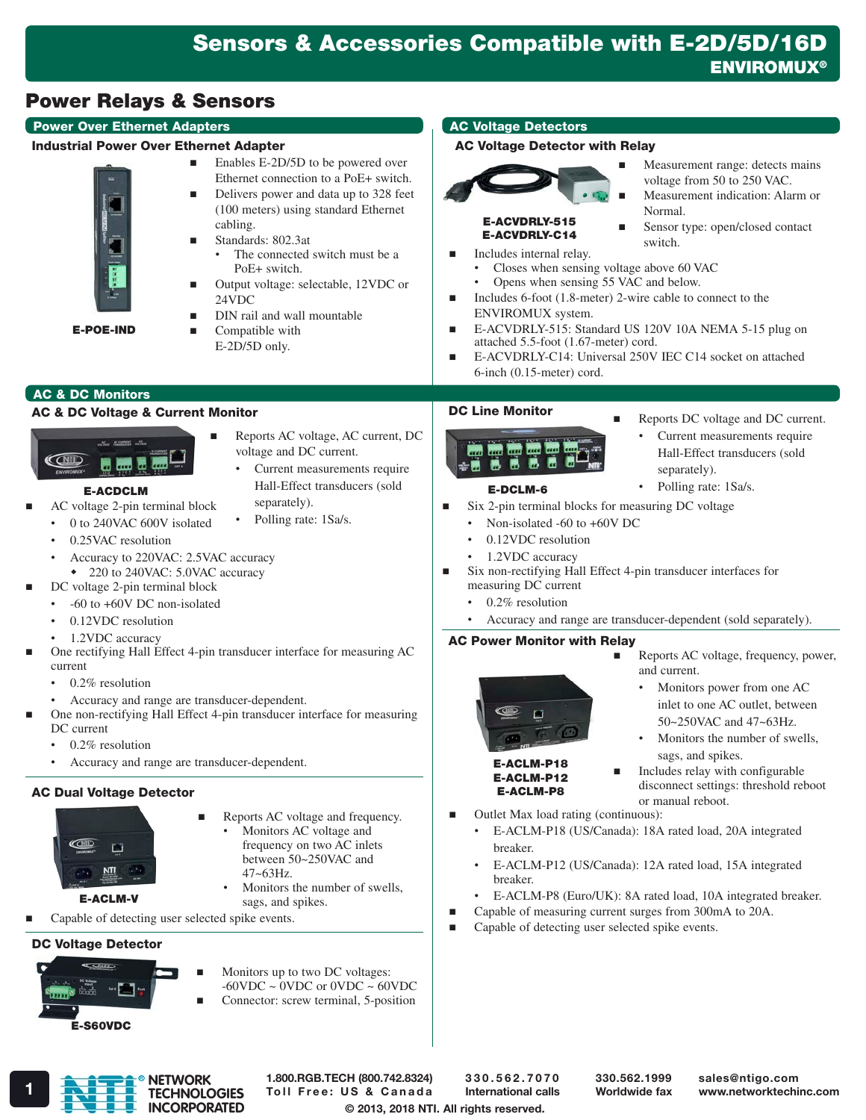# Power Relays & Sensors

# Power Over Ethernet Adapters

#### Industrial Power Over Ethernet Adapter



E-POE-IND

- Enables E-2D/5D to be powered over Ethernet connection to a PoE+ switch.
- Delivers power and data up to 328 feet (100 meters) using standard Ethernet cabling.
- Standards: 802.3at The connected switch must be a PoE+ switch.
- Output voltage: selectable, 12VDC or 24VDC

Reports AC voltage, AC current, DC

Current measurements require Hall-Effect transducers (sold

voltage and DC current.

separately). Polling rate: 1Sa/s.

- DIN rail and wall mountable
- Compatible with E-2D/5D only.

# AC & DC Monitors

## AC & DC Voltage & Current Monitor



#### E-ACDCLM

- AC voltage 2-pin terminal block
- 0 to 240VAC 600V isolated
- 0.25VAC resolution
- Accuracy to 220VAC: 2.5VAC accuracy
	- 220 to 240VAC: 5.0VAC accuracy
- DC voltage 2-pin terminal block
	- -60 to +60V DC non-isolated
	- 0.12VDC resolution
	- 1.2VDC accuracy
- One rectifying Hall Effect 4-pin transducer interface for measuring AC current
	- 0.2% resolution
	- Accuracy and range are transducer-dependent.
- One non-rectifying Hall Effect 4-pin transducer interface for measuring DC current
	- 0.2% resolution
	- Accuracy and range are transducer-dependent.

# AC Dual Voltage Detector



E-ACLM-V

- Monitors AC voltage and
	- frequency on two AC inlets between 50~250VAC and 47~63Hz.
	- Monitors the number of swells, sags, and spikes.
- Capable of detecting user selected spike events.

# DC Voltage Detector



- Monitors up to two DC voltages:  $-60$ VDC  $\sim$  0VDC or 0VDC  $\sim$  60VDC Connector: screw terminal, 5-position
- 

# AC Voltage Detectors

# AC Voltage Detector with Relay



- Measurement range: detects mains voltage from 50 to 250 VAC.
- Measurement indication: Alarm or Normal. Sensor type: open/closed contact

#### E-ACVDRLY-515 E-ACVDRLY-C14

- switch. Includes internal relay. • Closes when sensing voltage above 60 VAC
	- Opens when sensing 55 VAC and below.
- Includes 6-foot (1.8-meter) 2-wire cable to connect to the ENVIROMUX system.
- E-ACVDRLY-515: Standard US 120V 10A NEMA 5-15 plug on attached 5.5-foot (1.67-meter) cord.
- E-ACVDRLY-C14: Universal 250V IEC C14 socket on attached 6-inch (0.15-meter) cord.

# DC Line Monitor

- ing) 鹽 **The Contract of the Contract of the Contract of the Contract of the Contract of the Contract of the Contract of the Contract of the Contract of The Contract of The Contract of The Contract of The Contract of The Contract** в . .
- Reports DC voltage and DC current.

Current measurements require Hall-Effect transducers (sold

- - E-DCLM-6
- Polling rate: 1Sa/s.

separately).

- Six 2-pin terminal blocks for measuring DC voltage
	- Non-isolated -60 to +60V DC
	- 0.12VDC resolution
	- 1.2VDC accuracy
- Six non-rectifying Hall Effect 4-pin transducer interfaces for measuring DC current
	- 0.2% resolution
	- Accuracy and range are transducer-dependent (sold separately).

# AC Power Monitor with Relay



- Reports AC voltage, frequency, power, and current.
	- Monitors power from one AC inlet to one AC outlet, between 50~250VAC and 47~63Hz.
	- Monitors the number of swells, sags, and spikes.

- **Includes relay with configurable** disconnect settings: threshold reboot or manual reboot.
- Outlet Max load rating (continuous):
	- E-ACLM-P18 (US/Canada): 18A rated load, 20A integrated breaker.
	- E-ACLM-P12 (US/Canada): 12A rated load, 15A integrated breaker.
	- E-ACLM-P8 (Euro/UK): 8A rated load, 10A integrated breaker.
- Capable of measuring current surges from 300mA to 20A.
- Capable of detecting user selected spike events.
- 
- Reports AC voltage and frequency.
	-
- 
- 

E-ACLM-P18 E-ACLM-P12 E-ACLM-P8

- 
- 

**NETWORK TECHNOLOGIES**

**INCORPORATED**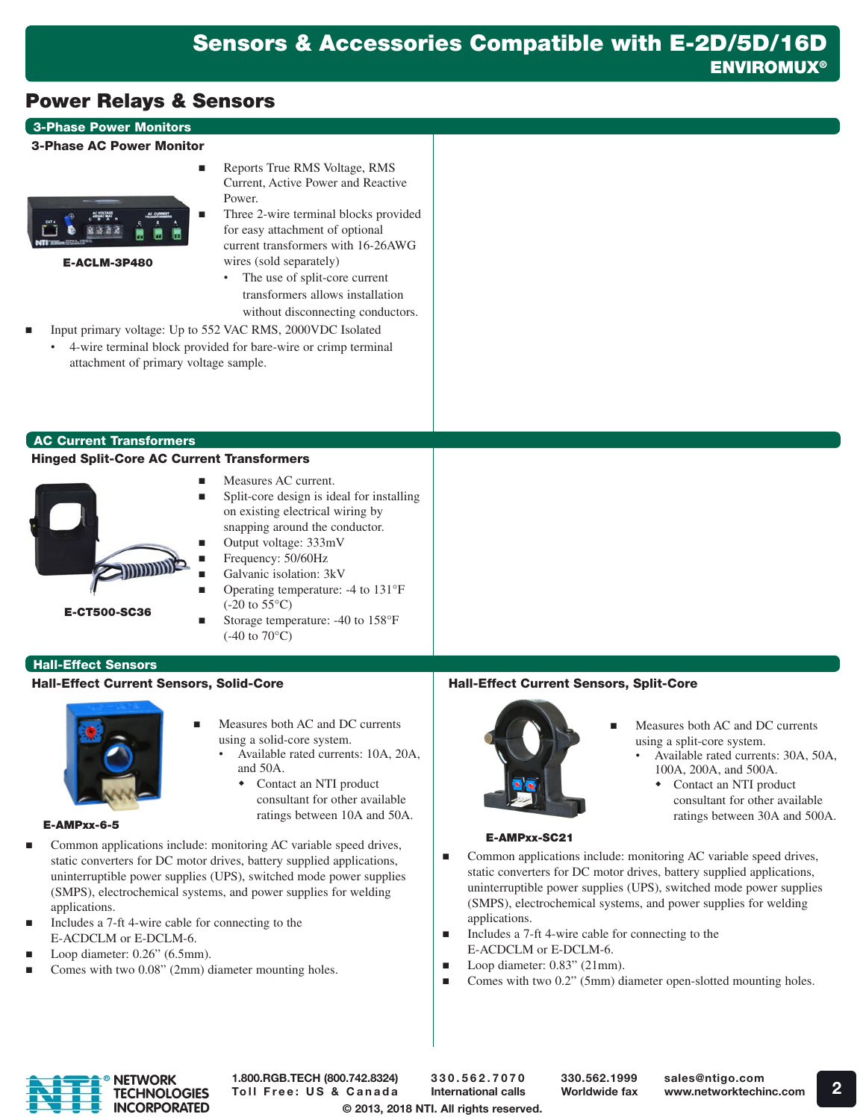# Power Relays & Sensors

## 3-Phase Power Monitors

#### 3-Phase AC Power Monitor



E-ACLM-3P480

- Reports True RMS Voltage, RMS Current, Active Power and Reactive Power.
- Three 2-wire terminal blocks provided for easy attachment of optional current transformers with 16-26AWG wires (sold separately)
	- The use of split-core current transformers allows installation without disconnecting conductors.
- Input primary voltage: Up to 552 VAC RMS, 2000VDC Isolated • 4-wire terminal block provided for bare-wire or crimp terminal attachment of primary voltage sample.

#### AC Current Transformers

#### Hinged Split-Core AC Current Transformers



- Measures AC current.
- Split-core design is ideal for installing on existing electrical wiring by snapping around the conductor.
- Output voltage: 333mV
- Frequency: 50/60Hz
- Galvanic isolation: 3kV
- Operating temperature: -4 to 131°F  $(-20 \text{ to } 55^{\circ}\text{C})$
- Storage temperature: -40 to 158°F (-40 to 70°C)

#### **Hall-Effect Sensors**

#### Hall-Effect Current Sensors, Solid-Core



- Measures both AC and DC currents using a solid-core system.
	- Available rated currents: 10A, 20A, and 50A.
		- Contact an NTI product consultant for other available ratings between 10A and 50A.

#### E-AMPxx-6-5

- Common applications include: monitoring AC variable speed drives, static converters for DC motor drives, battery supplied applications, uninterruptible power supplies (UPS), switched mode power supplies (SMPS), electrochemical systems, and power supplies for welding applications.
- Includes a 7-ft 4-wire cable for connecting to the E-ACDCLM or E-DCLM-6.
- Loop diameter: 0.26" (6.5mm).
- Comes with two 0.08" (2mm) diameter mounting holes.

# Hall-Effect Current Sensors, Split-Core



- Measures both AC and DC currents using a split-core system.
	- Available rated currents: 30A, 50A, 100A, 200A, and 500A.
		- Contact an NTI product consultant for other available ratings between 30A and 500A.

#### E-AMPxx-SC21

- Common applications include: monitoring AC variable speed drives, static converters for DC motor drives, battery supplied applications, uninterruptible power supplies (UPS), switched mode power supplies (SMPS), electrochemical systems, and power supplies for welding applications.
- Includes a 7-ft 4-wire cable for connecting to the E-ACDCLM or E-DCLM-6.
- Loop diameter: 0.83" (21mm).
- Comes with two 0.2" (5mm) diameter open-slotted mounting holes.



1.800.RGB.TECH (800.742.8324) Toll Free: US & Canada

© 2013, 2018 NTI. All rights reserved. 330.562.7070 International calls

330.562.1999 Worldwide fax